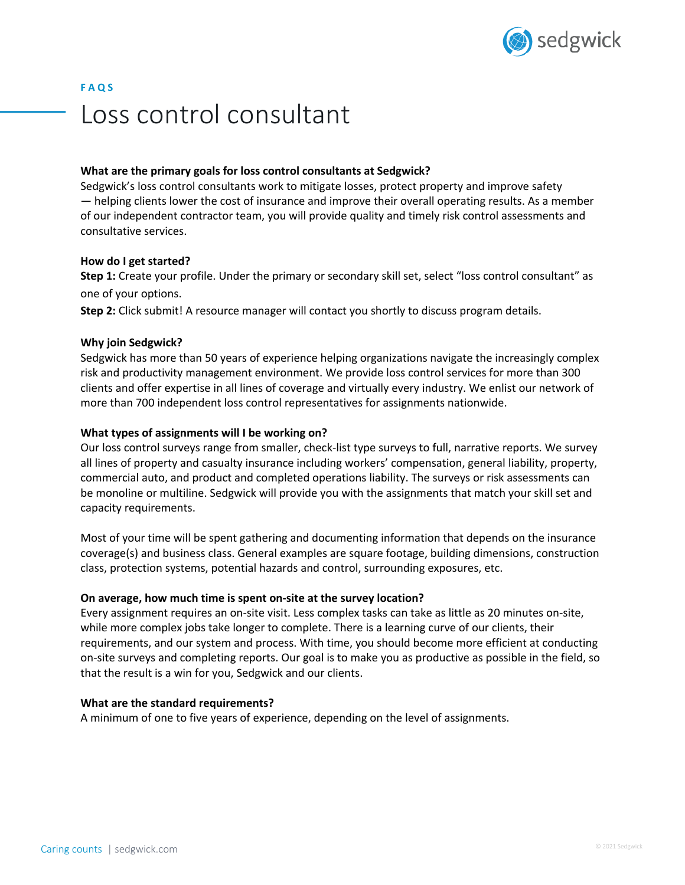

# **F A Q S** Loss control consultant

## **What are the primary goals for loss control consultants at Sedgwick?**

Sedgwick's loss control consultants work to mitigate losses, protect property and improve safety — helping clients lower the cost of insurance and improve their overall operating results. As a member of our independent contractor team, you will provide quality and timely risk control assessments and consultative services.

#### **How do I get started?**

**Step 1:** Create your profile. Under the primary or secondary skill set, select "loss control consultant" as one of your options.

**Step 2:** Click submit! A resource manager will contact you shortly to discuss program details.

#### **Why join Sedgwick?**

Sedgwick has more than 50 years of experience helping organizations navigate the increasingly complex risk and productivity management environment. We provide loss control services for more than 300 clients and offer expertise in all lines of coverage and virtually every industry. We enlist our network of more than 700 independent loss control representatives for assignments nationwide.

#### **What types of assignments will I be working on?**

Our loss control surveys range from smaller, check-list type surveys to full, narrative reports. We survey all lines of property and casualty insurance including workers' compensation, general liability, property, commercial auto, and product and completed operations liability. The surveys or risk assessments can be monoline or multiline. Sedgwick will provide you with the assignments that match your skill set and capacity requirements.

Most of your time will be spent gathering and documenting information that depends on the insurance coverage(s) and business class. General examples are square footage, building dimensions, construction class, protection systems, potential hazards and control, surrounding exposures, etc.

#### **On average, how much time is spent on-site at the survey location?**

Every assignment requires an on-site visit. Less complex tasks can take as little as 20 minutes on-site, while more complex jobs take longer to complete. There is a learning curve of our clients, their requirements, and our system and process. With time, you should become more efficient at conducting on-site surveys and completing reports. Our goal is to make you as productive as possible in the field, so that the result is a win for you, Sedgwick and our clients.

#### **What are the standard requirements?**

A minimum of one to five years of experience, depending on the level of assignments.